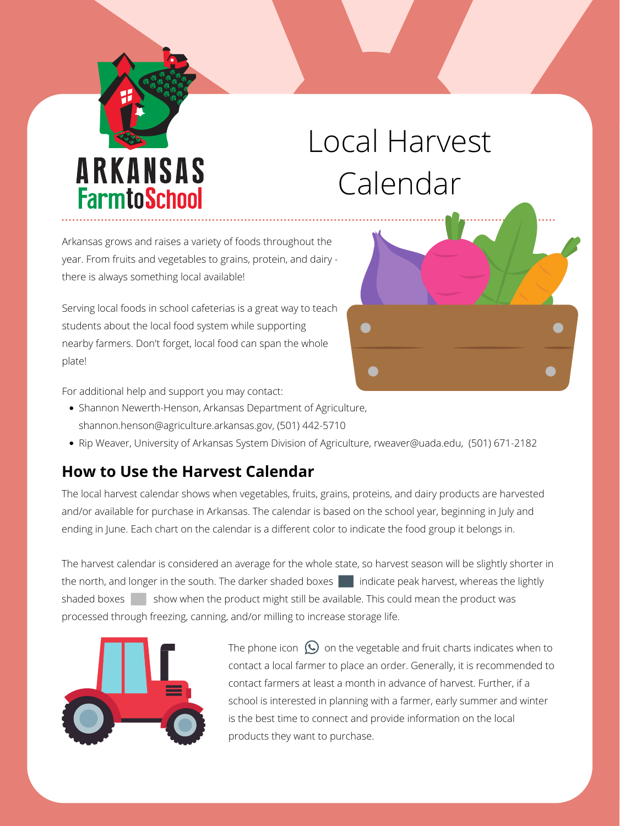Shannon Newerth-Henson, Arkansas Department of Agriculture, shannon.henson@agriculture.arkansas.gov, (501) 442-5710

Rip Weaver, University of Arkansas System Division of Agriculture, rweaver@uada.edu, (501) 671-2182

## **How to Use the Harvest Calendar**

The local harvest calendar shows when vegetables, fruits, grains, proteins, and dairy products are harvested and/or available for purchase in Arkansas. The calendar is based on the school year, beginning in July and ending in June. Each chart on the calendar is a different color to indicate the food group it belongs in.

The harvest calendar is considered an average for the whole state, so harvest season will be slightly shorter in the north, and longer in the south. The darker shaded boxes  $\Box$  indicate peak harvest, whereas the lightly shaded boxes  $\vert$  show when the product might still be available. This could mean the product was processed through freezing, canning, and/or milling to increase storage life.



The phone icon  $\bigcirc$  on the vegetable and fruit charts indicates when to contact a local farmer to place an order. Generally, it is recommended to contact farmers at least a month in advance of harvest. Further, if a school is interested in planning with a farmer, early summer and winter is the best time to connect and provide information on the local products they want to purchase.

Arkansas grows and raises a variety of foods throughout the year. From fruits and vegetables to grains, protein, and dairy there is always something local available!

Serving local foods in school cafeterias is a great way to teach students about the local food system while supporting nearby farmers. Don't forget, local food can span the whole plate!

For additional help and support you may contact:

## ARKANSAS **FarmtoSchool**

## Local Harvest Calendar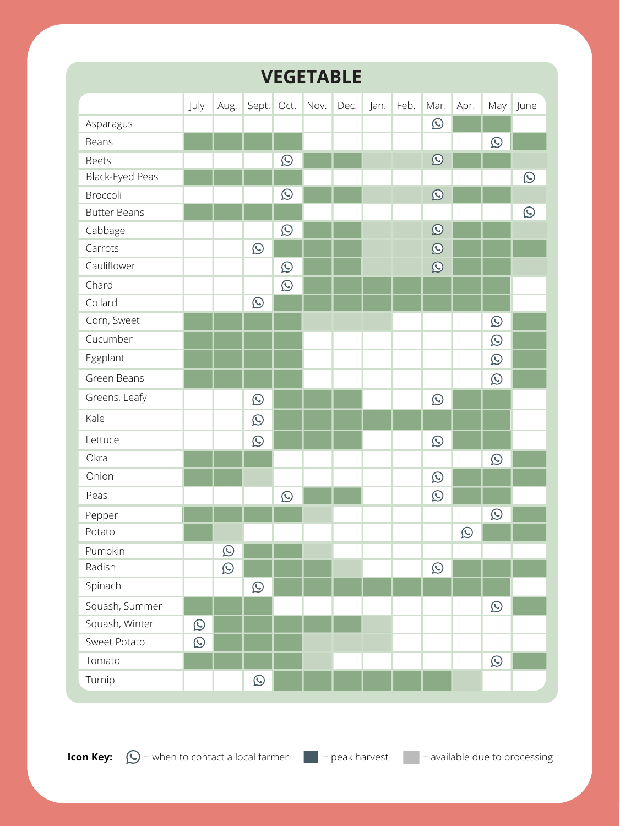|                        |            |            |            |             | <b>VEGETABLE</b>     |           |            |            |            |            |
|------------------------|------------|------------|------------|-------------|----------------------|-----------|------------|------------|------------|------------|
|                        | July       | Aug.       |            |             | Sept. Oct. Nov. Dec. | Jan. Feb. | Mar.       | Apr.       | May l      | June       |
| Asparagus              |            |            |            |             |                      |           | $\bigcirc$ |            |            |            |
| <b>Beans</b>           |            |            |            |             |                      |           |            |            | $\bigodot$ |            |
| <b>Beets</b>           |            |            |            | $\bigodot$  |                      |           | $\bigcirc$ |            |            |            |
| <b>Black-Eyed Peas</b> |            |            |            |             |                      |           |            |            |            | $\bigodot$ |
| Broccoli               |            |            |            | $\bigodot$  |                      |           | $\bigcirc$ |            |            |            |
| <b>Butter Beans</b>    |            |            |            |             |                      |           |            |            |            | <b>C</b>   |
| Cabbage                |            |            |            | $\bigodot$  |                      |           | $\bigcirc$ |            |            |            |
| Carrots                |            |            | $\bigodot$ |             |                      |           | $\bigcirc$ |            |            |            |
| Cauliflower            |            |            |            | L           |                      |           | C          |            |            |            |
| Chard                  |            |            |            | $\bigodot$  |                      |           |            |            |            |            |
| Collard                |            |            | $\bigodot$ |             |                      |           |            |            |            |            |
| Corn, Sweet            |            |            |            |             |                      |           |            |            | $\bigodot$ |            |
| Cucumber               |            |            |            |             |                      |           |            |            | $\bigodot$ |            |
| Eggplant               |            |            |            |             |                      |           |            |            | $\bigcirc$ |            |
| <b>Green Beans</b>     |            |            |            |             |                      |           |            |            | $\bigodot$ |            |
| Greens, Leafy          |            |            | $\bigcirc$ |             |                      |           | $\bigodot$ |            |            |            |
| Kale                   |            |            | $\bigodot$ |             |                      |           |            |            |            |            |
| Lettuce                |            |            | $\bigodot$ |             |                      |           | $\bigcirc$ |            |            |            |
| Okra                   |            |            |            |             |                      |           |            |            | $\bigodot$ |            |
| Onion                  |            |            |            |             |                      |           | $\bigodot$ |            |            |            |
| Peas                   |            |            |            | $\mathbf C$ | --                   |           | $\bigodot$ |            |            |            |
| Pepper                 |            |            |            |             |                      |           |            |            | $\bigodot$ |            |
| Potato                 |            |            |            |             |                      |           |            | $\bigodot$ |            |            |
| Pumpkin                |            | $\bigodot$ |            |             |                      |           |            |            |            |            |
| Radish                 |            | $\bigodot$ |            |             |                      |           | $\bigodot$ |            |            |            |
| Spinach                |            |            | $\bigodot$ |             |                      |           |            |            |            |            |
| Squash, Summer         |            |            |            |             |                      |           |            |            | $\bigodot$ |            |
| Squash, Winter         | $\bigodot$ |            |            |             |                      |           |            |            |            |            |
| <b>Sweet Potato</b>    | $\bigodot$ |            |            |             |                      |           |            |            |            |            |
| Tomato                 |            |            |            |             |                      |           |            |            | $\bigcirc$ |            |
| Turnip                 |            |            | $\bigodot$ |             |                      |           |            |            |            |            |



**Icon Key:**  $\bigcirc$  = when to contact a local farmer  $\blacksquare$  = peak harvest  $\blacksquare$  = available due to processing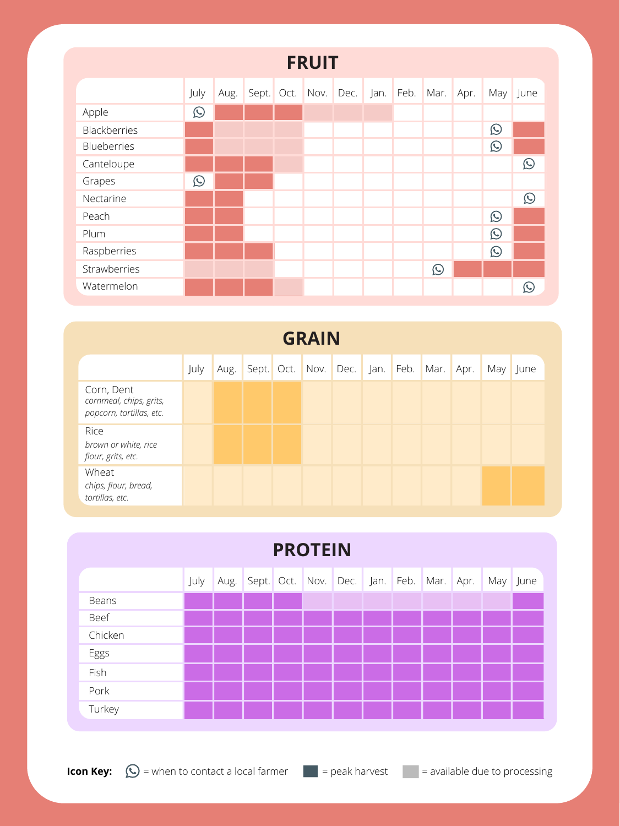| <b>GRAIN</b>                                                      |      |      |  |  |                 |      |  |           |      |      |  |          |  |
|-------------------------------------------------------------------|------|------|--|--|-----------------|------|--|-----------|------|------|--|----------|--|
|                                                                   | July | Aug. |  |  | Sept. Oct. Nov. | Dec. |  | Jan. Feb. | Mar. | Apr. |  | May June |  |
| Corn, Dent<br>cornmeal, chips, grits,<br>popcorn, tortillas, etc. |      |      |  |  |                 |      |  |           |      |      |  |          |  |
| Rice<br>brown or white, rice<br>flour, grits, etc.                |      |      |  |  |                 |      |  |           |      |      |  |          |  |
| Wheat<br>chips, flour, bread,<br>tortillas, etc.                  |      |      |  |  |                 |      |  |           |      |      |  |          |  |

| <b>FRUIT</b> |            |      |  |  |  |                                     |  |  |            |      |              |            |
|--------------|------------|------|--|--|--|-------------------------------------|--|--|------------|------|--------------|------------|
|              | July       | Aug. |  |  |  | Sept. Oct. Nov. Dec. Jan. Feb. Mar. |  |  |            | Apr. | May l        | June       |
| Apple        | $\bigodot$ |      |  |  |  |                                     |  |  |            |      |              |            |
| Blackberries |            |      |  |  |  |                                     |  |  |            |      | $\bigodot$   |            |
| Blueberries  |            |      |  |  |  |                                     |  |  |            |      | $\bigodot$   |            |
| Canteloupe   |            |      |  |  |  |                                     |  |  |            |      |              | $\bigcirc$ |
| Grapes       | $\bigodot$ |      |  |  |  |                                     |  |  |            |      |              |            |
| Nectarine    |            |      |  |  |  |                                     |  |  |            |      |              | $\bigodot$ |
| Peach        |            |      |  |  |  |                                     |  |  |            |      | $\bigodot$   |            |
| Plum         |            |      |  |  |  |                                     |  |  |            |      | $\bigodot$   |            |
| Raspberries  |            |      |  |  |  |                                     |  |  |            |      | $\mathbf{C}$ |            |
| Strawberries |            |      |  |  |  |                                     |  |  | $\bigodot$ |      |              |            |
| Watermelon   |            |      |  |  |  |                                     |  |  |            |      |              | $\bigodot$ |

| <b>PROTEIN</b> |      |      |                                          |  |  |  |  |  |  |  |          |  |
|----------------|------|------|------------------------------------------|--|--|--|--|--|--|--|----------|--|
|                | July | Aug. | Sept. Oct. Nov. Dec. Jan. Feb. Mar. Apr. |  |  |  |  |  |  |  | May June |  |
| <b>Beans</b>   |      |      |                                          |  |  |  |  |  |  |  |          |  |
| <b>Beef</b>    |      |      |                                          |  |  |  |  |  |  |  |          |  |
| Chicken        |      |      |                                          |  |  |  |  |  |  |  |          |  |
| Eggs           |      |      |                                          |  |  |  |  |  |  |  |          |  |
| Fish           |      |      |                                          |  |  |  |  |  |  |  |          |  |
| Pork           |      |      |                                          |  |  |  |  |  |  |  |          |  |
| Turkey         |      |      |                                          |  |  |  |  |  |  |  |          |  |